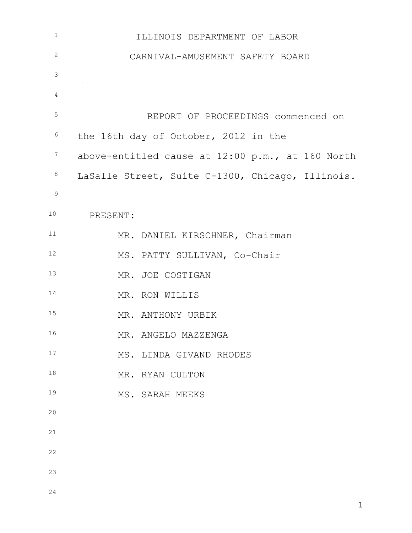| $1\,$          | ILLINOIS DEPARTMENT OF LABOR                     |
|----------------|--------------------------------------------------|
| $\overline{c}$ | CARNIVAL-AMUSEMENT SAFETY BOARD                  |
| $\mathfrak{Z}$ |                                                  |
| 4              |                                                  |
| 5              | REPORT OF PROCEEDINGS commenced on               |
| 6              | the 16th day of October, 2012 in the             |
| $\overline{7}$ | above-entitled cause at 12:00 p.m., at 160 North |
| $\,8\,$        | LaSalle Street, Suite C-1300, Chicago, Illinois. |
| $\mathsf 9$    |                                                  |
| 10             | PRESENT:                                         |
| 11             | MR. DANIEL KIRSCHNER, Chairman                   |
| 12             | MS. PATTY SULLIVAN, Co-Chair                     |
| 13             | MR. JOE COSTIGAN                                 |
| 14             | MR. RON WILLIS                                   |
| 15             | MR. ANTHONY URBIK                                |
| 16             | MR. ANGELO MAZZENGA                              |
| 17             | MS. LINDA GIVAND RHODES                          |
| 18             | MR. RYAN CULTON                                  |
| 19             | MS. SARAH MEEKS                                  |
| 20             |                                                  |
| 21             |                                                  |
| 22             |                                                  |
| 23             |                                                  |
| 24             |                                                  |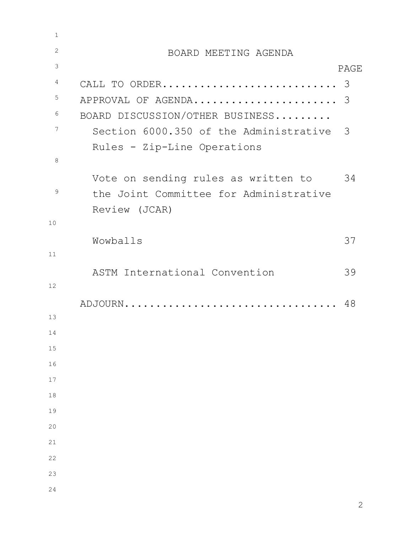| BOARD MEETING AGENDA                     |      |
|------------------------------------------|------|
|                                          | PAGE |
|                                          |      |
| APPROVAL OF AGENDA 3                     |      |
| BOARD DISCUSSION/OTHER BUSINESS          |      |
| Section 6000.350 of the Administrative 3 |      |
| Rules - Zip-Line Operations              |      |
|                                          |      |
| Vote on sending rules as written to      | 34   |
| the Joint Committee for Administrative   |      |
| Review (JCAR)                            |      |
|                                          |      |
| Wowballs                                 | 37   |
|                                          |      |
| ASTM International Convention            | 39   |
|                                          |      |
| ADJOURN                                  | 48   |
|                                          |      |
|                                          |      |
|                                          |      |
|                                          |      |
|                                          |      |
|                                          |      |
|                                          |      |
|                                          |      |
|                                          |      |
|                                          |      |
|                                          |      |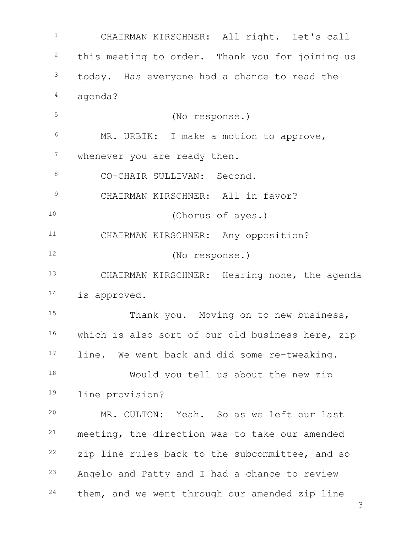<sup>1</sup> CHAIRMAN KIRSCHNER: All right. Let's call <sup>2</sup> this meeting to order. Thank you for joining us <sup>3</sup> today. Has everyone had a chance to read the <sup>4</sup> agenda? <sup>5</sup> (No response.) <sup>6</sup> MR. URBIK: I make a motion to approve, <sup>7</sup> whenever you are ready then. 8 CO-CHAIR SULLIVAN: Second. <sup>9</sup> CHAIRMAN KIRSCHNER: All in favor? <sup>10</sup> (Chorus of ayes.) <sup>11</sup> CHAIRMAN KIRSCHNER: Any opposition? <sup>12</sup> (No response.) <sup>13</sup> CHAIRMAN KIRSCHNER: Hearing none, the agenda <sup>14</sup> is approved. 15 Thank you. Moving on to new business, 16 which is also sort of our old business here, zip 17 line. We went back and did some re-tweaking. <sup>18</sup> Would you tell us about the new zip <sup>19</sup> line provision? <sup>20</sup> MR. CULTON: Yeah. So as we left our last <sup>21</sup> meeting, the direction was to take our amended <sup>22</sup> zip line rules back to the subcommittee, and so <sup>23</sup> Angelo and Patty and I had a chance to review <sup>24</sup> them, and we went through our amended zip line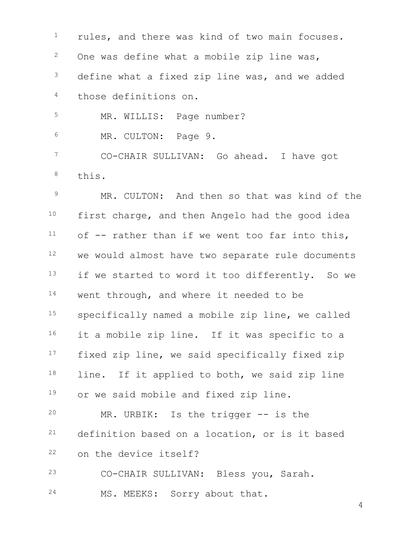<sup>1</sup> rules, and there was kind of two main focuses. One was define what a mobile zip line was, <sup>3</sup> define what a fixed zip line was, and we added those definitions on. <sup>5</sup> MR. WILLIS: Page number? MR. CULTON: Page 9. CO-CHAIR SULLIVAN: Go ahead. I have got

this.

 MR. CULTON: And then so that was kind of the first charge, and then Angelo had the good idea of  $-$  rather than if we went too far into this, we would almost have two separate rule documents 13 if we started to word it too differently. So we 14 went through, and where it needed to be specifically named a mobile zip line, we called 16 it a mobile zip line. If it was specific to a 17 fixed zip line, we said specifically fixed zip 18 line. If it applied to both, we said zip line 19 or we said mobile and fixed zip line.

 MR. URBIK: Is the trigger -- is the definition based on a location, or is it based on the device itself?

CO-CHAIR SULLIVAN: Bless you, Sarah.

MS. MEEKS: Sorry about that.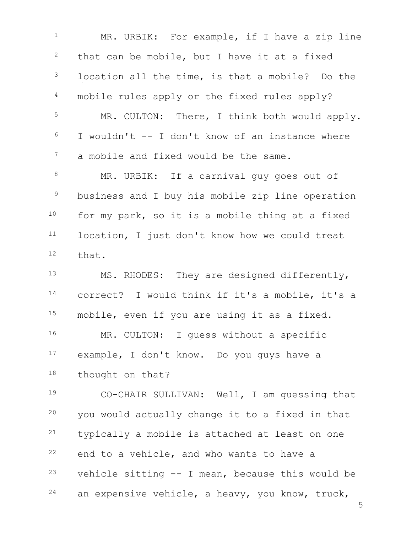5 <sup>1</sup> MR. URBIK: For example, if I have a zip line  $2$  that can be mobile, but I have it at a fixed <sup>3</sup> location all the time, is that a mobile? Do the <sup>4</sup> mobile rules apply or the fixed rules apply? <sup>5</sup> MR. CULTON: There, I think both would apply.  $6$  I wouldn't  $-$  I don't know of an instance where <sup>7</sup> a mobile and fixed would be the same. 8 MR. URBIK: If a carnival guy goes out of <sup>9</sup> business and I buy his mobile zip line operation 10 for my park, so it is a mobile thing at a fixed 11 location, I just don't know how we could treat <sup>12</sup> that. <sup>13</sup> MS. RHODES: They are designed differently, <sup>14</sup> correct? I would think if it's a mobile, it's a <sup>15</sup> mobile, even if you are using it as a fixed. 16 MR. CULTON: I quess without a specific <sup>17</sup> example, I don't know. Do you guys have a 18 thought on that? <sup>19</sup> CO-CHAIR SULLIVAN: Well, I am guessing that <sup>20</sup> you would actually change it to a fixed in that <sup>21</sup> typically a mobile is attached at least on one  $22$  end to a vehicle, and who wants to have a  $23$  vehicle sitting  $--$  I mean, because this would be  $24$  an expensive vehicle, a heavy, you know, truck,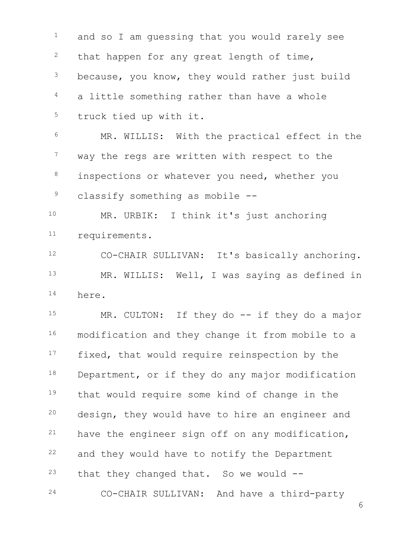<sup>1</sup> and so I am quessing that you would rarely see that happen for any great length of time, because, you know, they would rather just build a little something rather than have a whole truck tied up with it. MR. WILLIS: With the practical effect in the <sup>7</sup> way the regs are written with respect to the <sup>8</sup> inspections or whatever you need, whether you classify something as mobile -- MR. URBIK: I think it's just anchoring requirements. CO-CHAIR SULLIVAN: It's basically anchoring. MR. WILLIS: Well, I was saying as defined in here. MR. CULTON: If they do -- if they do a major modification and they change it from mobile to a <sup>17</sup> fixed, that would require reinspection by the 18 Department, or if they do any major modification that would require some kind of change in the design, they would have to hire an engineer and have the engineer sign off on any modification, and they would have to notify the Department that they changed that. So we would  $-$ CO-CHAIR SULLIVAN: And have a third-party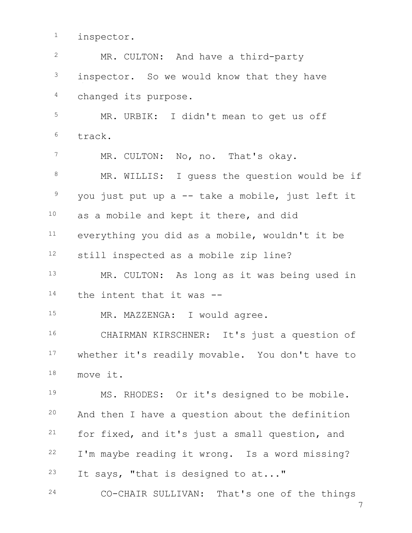<sup>1</sup> inspector.

| $\overline{2}$  | MR. CULTON: And have a third-party               |
|-----------------|--------------------------------------------------|
| $\mathcal{S}$   | inspector. So we would know that they have       |
| $\overline{4}$  | changed its purpose.                             |
| 5               | MR. URBIK: I didn't mean to get us off           |
| $6\,$           | track.                                           |
| $7\phantom{.0}$ | MR. CULTON: No, no. That's okay.                 |
| $8\,$           | MR. WILLIS: I guess the question would be if     |
| $\overline{9}$  | you just put up a -- take a mobile, just left it |
| 10              | as a mobile and kept it there, and did           |
| 11              | everything you did as a mobile, wouldn't it be   |
| 12              | still inspected as a mobile zip line?            |
| 13              | MR. CULTON: As long as it was being used in      |
| 14              | the intent that it was --                        |
| 15 <sub>1</sub> | MR. MAZZENGA: I would agree.                     |
| 16              | CHAIRMAN KIRSCHNER: It's just a question of      |
| 17 <sub>2</sub> | whether it's readily movable. You don't have to  |
| 18              | move it.                                         |
| 19              | MS. RHODES: Or it's designed to be mobile.       |
| 20              | And then I have a question about the definition  |
| 21              | for fixed, and it's just a small question, and   |
| 22              | I'm maybe reading it wrong. Is a word missing?   |
| 23              | It says, "that is designed to at"                |
| 24              | CO-CHAIR SULLIVAN: That's one of the things      |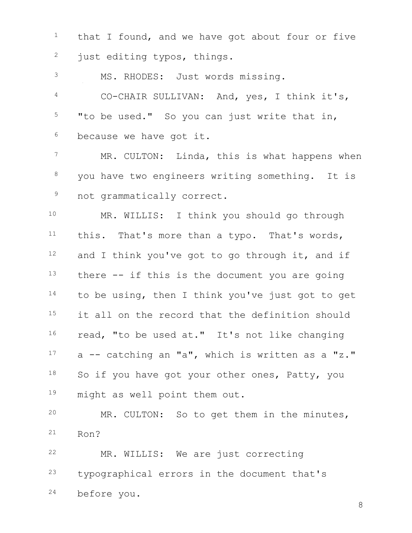that I found, and we have got about four or five <sup>2</sup> just editing typos, things.

MS. RHODES: Just words missing.

 CO-CHAIR SULLIVAN: And, yes, I think it's, "to be used." So you can just write that in, because we have got it.

<sup>7</sup> MR. CULTON: Linda, this is what happens when you have two engineers writing something. It is <sup>9</sup> not grammatically correct.

 MR. WILLIS: I think you should go through this. That's more than a typo. That's words, and I think you've got to go through it, and if there  $-$  if this is the document you are going 14 to be using, then I think you've just got to get <sup>15</sup> it all on the record that the definition should 16 read, "to be used at." It's not like changing a  $-$  catching an "a", which is written as a "z." 18 So if you have got your other ones, Patty, you 19 might as well point them out.

 MR. CULTON: So to get them in the minutes, Ron?

 MR. WILLIS: We are just correcting typographical errors in the document that's before you.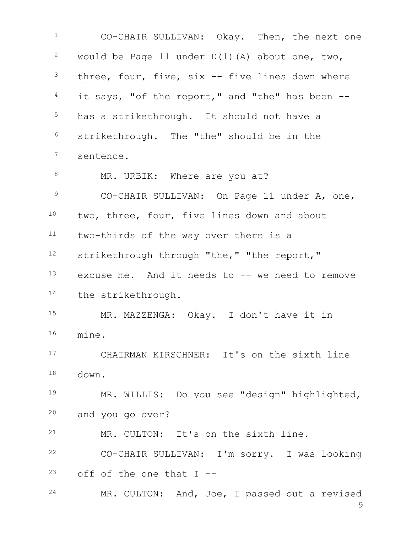CO-CHAIR SULLIVAN: Okay. Then, the next one <sup>2</sup> would be Page 11 under  $D(1)$  (A) about one, two, three, four, five, six -- five lines down where it says, "of the report," and "the" has been  $-$ 5 has a strikethrough. It should not have a strikethrough. The "the" should be in the sentence. 8 MR. URBIK: Where are you at? 9 CO-CHAIR SULLIVAN: On Page 11 under A, one, two, three, four, five lines down and about two-thirds of the way over there is a strikethrough through "the," "the report," excuse me. And it needs to -- we need to remove 14 the strikethrough. MR. MAZZENGA: Okay. I don't have it in mine. CHAIRMAN KIRSCHNER: It's on the sixth line down. MR. WILLIS: Do you see "design" highlighted, and you go over? MR. CULTON: It's on the sixth line. CO-CHAIR SULLIVAN: I'm sorry. I was looking off of the one that I --MR. CULTON: And, Joe, I passed out a revised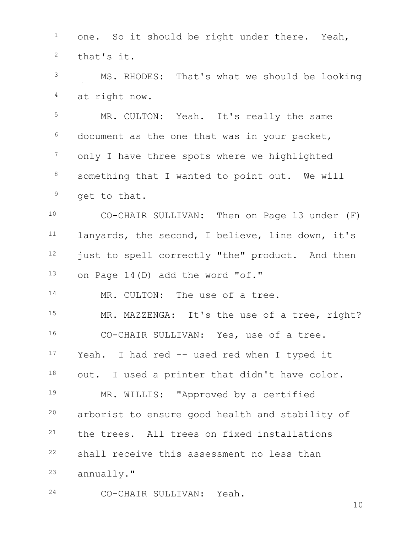one. So it should be right under there. Yeah, that's it. MS. RHODES: That's what we should be looking at right now. MR. CULTON: Yeah. It's really the same document as the one that was in your packet, <sup>7</sup> only I have three spots where we highlighted 8 something that I wanted to point out. We will <sup>9</sup> get to that. CO-CHAIR SULLIVAN: Then on Page 13 under (F) lanyards, the second, I believe, line down, it's 12 just to spell correctly "the" product. And then on Page 14(D) add the word "of." 14 MR. CULTON: The use of a tree. 15 MR. MAZZENGA: It's the use of a tree, right? CO-CHAIR SULLIVAN: Yes, use of a tree. Yeah. I had red -- used red when I typed it 18 out. I used a printer that didn't have color. MR. WILLIS: "Approved by a certified arborist to ensure good health and stability of the trees. All trees on fixed installations shall receive this assessment no less than annually."

CO-CHAIR SULLIVAN: Yeah.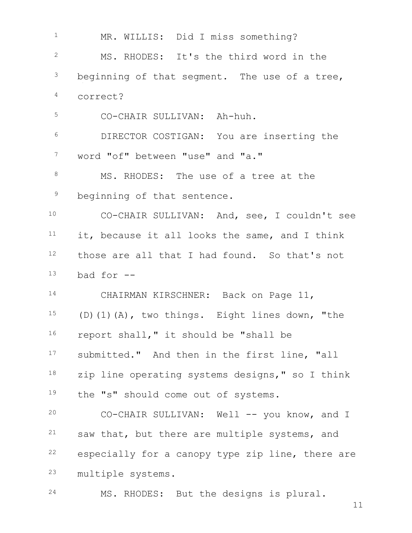1 MR. WILLIS: Did I miss something? MS. RHODES: It's the third word in the beginning of that segment. The use of a tree, correct? CO-CHAIR SULLIVAN: Ah-huh. DIRECTOR COSTIGAN: You are inserting the word "of" between "use" and "a." 8 MS. RHODES: The use of a tree at the <sup>9</sup> beginning of that sentence. CO-CHAIR SULLIVAN: And, see, I couldn't see it, because it all looks the same, and I think 12 those are all that I had found. So that's not bad for  $-$  CHAIRMAN KIRSCHNER: Back on Page 11, (D)(1)(A), two things. Eight lines down, "the report shall," it should be "shall be 17 submitted." And then in the first line, "all zip line operating systems designs," so I think 19 the "s" should come out of systems. CO-CHAIR SULLIVAN: Well -- you know, and I saw that, but there are multiple systems, and especially for a canopy type zip line, there are multiple systems. MS. RHODES: But the designs is plural.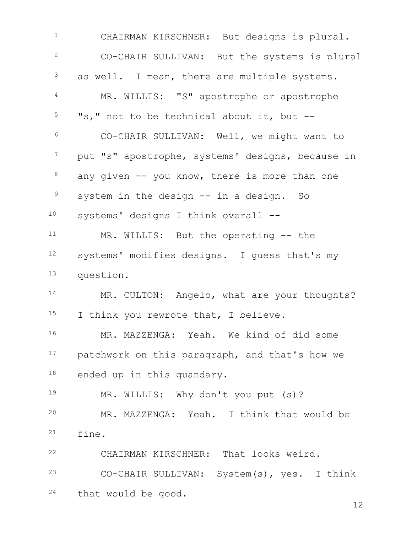CHAIRMAN KIRSCHNER: But designs is plural. CO-CHAIR SULLIVAN: But the systems is plural <sup>3</sup> as well. I mean, there are multiple systems. MR. WILLIS: "S" apostrophe or apostrophe "s," not to be technical about it, but  $-$  CO-CHAIR SULLIVAN: Well, we might want to put "s" apostrophe, systems' designs, because in any given  $-$  you know, there is more than one system in the design  $--$  in a design. So systems' designs I think overall -- MR. WILLIS: But the operating -- the systems' modifies designs. I guess that's my question. 14 MR. CULTON: Angelo, what are your thoughts? 15 I think you rewrote that, I believe. MR. MAZZENGA: Yeah. We kind of did some 17 patchwork on this paragraph, and that's how we 18 ended up in this quandary. MR. WILLIS: Why don't you put (s)? MR. MAZZENGA: Yeah. I think that would be fine. CHAIRMAN KIRSCHNER: That looks weird. CO-CHAIR SULLIVAN: System(s), yes. I think that would be good.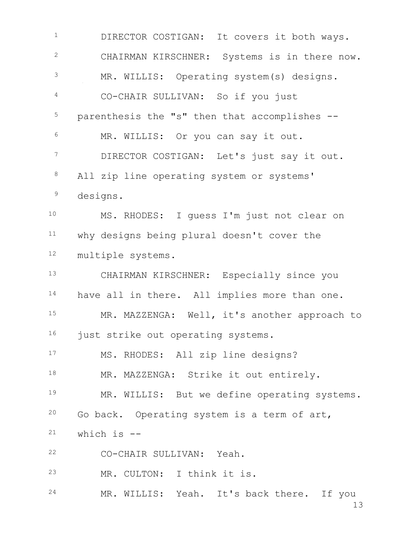1 DIRECTOR COSTIGAN: It covers it both ways. <sup>2</sup> CHAIRMAN KIRSCHNER: Systems is in there now. <sup>3</sup> MR. WILLIS: Operating system(s) designs. <sup>4</sup> CO-CHAIR SULLIVAN: So if you just <sup>5</sup> parenthesis the "s" then that accomplishes -- <sup>6</sup> MR. WILLIS: Or you can say it out. <sup>7</sup> DIRECTOR COSTIGAN: Let's just say it out. 8 All zip line operating system or systems' <sup>9</sup> designs. <sup>10</sup> MS. RHODES: I guess I'm just not clear on <sup>11</sup> why designs being plural doesn't cover the <sup>12</sup> multiple systems. <sup>13</sup> CHAIRMAN KIRSCHNER: Especially since you 14 have all in there. All implies more than one. 15 MR. MAZZENGA: Well, it's another approach to 16 just strike out operating systems. <sup>17</sup> MS. RHODES: All zip line designs? 18 MR. MAZZENGA: Strike it out entirely. 19 MR. WILLIS: But we define operating systems. <sup>20</sup> Go back. Operating system is a term of art,  $21$  which is  $-$ <sup>22</sup> CO-CHAIR SULLIVAN: Yeah. <sup>23</sup> MR. CULTON: I think it is. 24 MR. WILLIS: Yeah. It's back there. If you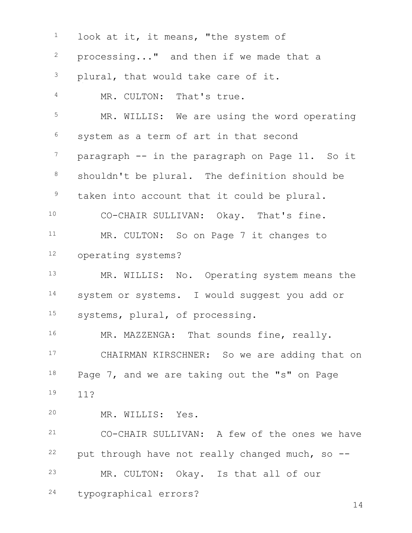| $\mathbf 1$     | look at it, it means, "the system of            |
|-----------------|-------------------------------------------------|
| $\mathbf{2}$    | processing" and then if we made that a          |
| $\mathfrak{Z}$  | plural, that would take care of it.             |
| $\overline{4}$  | MR. CULTON: That's true.                        |
| 5               | MR. WILLIS: We are using the word operating     |
| 6               | system as a term of art in that second          |
| $7\phantom{.0}$ | paragraph -- in the paragraph on Page 11. So it |
| $8\,$           | shouldn't be plural. The definition should be   |
| $\mathcal{G}$   | taken into account that it could be plural.     |
| 10              | CO-CHAIR SULLIVAN: Okay. That's fine.           |
| 11              | MR. CULTON: So on Page 7 it changes to          |
| 12              | operating systems?                              |
| 13              | MR. WILLIS: No. Operating system means the      |
| 14              | system or systems. I would suggest you add or   |
| 15              | systems, plural, of processing.                 |
| 16              | MR. MAZZENGA: That sounds fine, really.         |
| 17              | CHAIRMAN KIRSCHNER: So we are adding that on    |
| 18              | Page 7, and we are taking out the "s" on Page   |
| 19              | 11?                                             |
| 20              | MR. WILLIS: Yes.                                |
| 21              | CO-CHAIR SULLIVAN: A few of the ones we have    |
| 22              | put through have not really changed much, so -- |
| 23              | MR. CULTON: Okay. Is that all of our            |
| 24              | typographical errors?<br>14                     |
|                 |                                                 |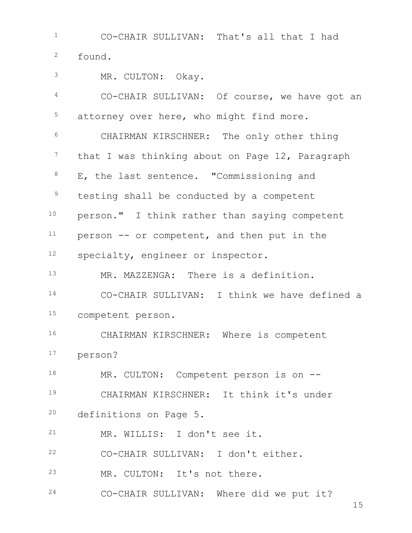CO-CHAIR SULLIVAN: That's all that I had found. MR. CULTON: Okay. CO-CHAIR SULLIVAN: Of course, we have got an attorney over here, who might find more. CHAIRMAN KIRSCHNER: The only other thing <sup>7</sup> that I was thinking about on Page 12, Paragraph E, the last sentence. "Commissioning and <sup>9</sup> testing shall be conducted by a competent person." I think rather than saying competent person -- or competent, and then put in the <sup>12</sup> specialty, engineer or inspector. MR. MAZZENGA: There is a definition. CO-CHAIR SULLIVAN: I think we have defined a competent person. CHAIRMAN KIRSCHNER: Where is competent person? 18 MR. CULTON: Competent person is on -- CHAIRMAN KIRSCHNER: It think it's under definitions on Page 5. MR. WILLIS: I don't see it. CO-CHAIR SULLIVAN: I don't either. MR. CULTON: It's not there. CO-CHAIR SULLIVAN: Where did we put it?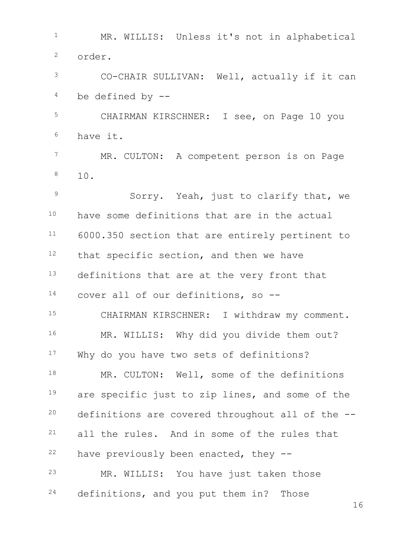MR. WILLIS: Unless it's not in alphabetical order. CO-CHAIR SULLIVAN: Well, actually if it can be defined by  $-$  CHAIRMAN KIRSCHNER: I see, on Page 10 you have it. 7 MR. CULTON: A competent person is on Page  $8 \t 10.$ <sup>9</sup> Sorry. Yeah, just to clarify that, we have some definitions that are in the actual 6000.350 section that are entirely pertinent to that specific section, and then we have 13 definitions that are at the very front that cover all of our definitions, so -- 15 CHAIRMAN KIRSCHNER: I withdraw my comment. 16 MR. WILLIS: Why did you divide them out? 17 Why do you have two sets of definitions? 18 MR. CULTON: Well, some of the definitions <sup>19</sup> are specific just to zip lines, and some of the definitions are covered throughout all of the  $-$ - all the rules. And in some of the rules that have previously been enacted, they  $-$  MR. WILLIS: You have just taken those definitions, and you put them in? Those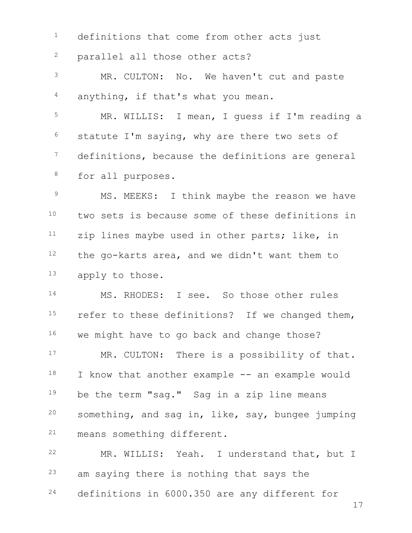<sup>1</sup> definitions that come from other acts just parallel all those other acts? MR. CULTON: No. We haven't cut and paste anything, if that's what you mean. MR. WILLIS: I mean, I guess if I'm reading a statute I'm saying, why are there two sets of <sup>7</sup> definitions, because the definitions are general for all purposes. <sup>9</sup> MS. MEEKS: I think maybe the reason we have two sets is because some of these definitions in zip lines maybe used in other parts; like, in the go-karts area, and we didn't want them to apply to those. MS. RHODES: I see. So those other rules <sup>15</sup> refer to these definitions? If we changed them, 16 we might have to go back and change those? 17 MR. CULTON: There is a possibility of that. 18 I know that another example -- an example would 19 be the term "sag." Sag in a zip line means something, and sag in, like, say, bungee jumping means something different. MR. WILLIS: Yeah. I understand that, but I <sup>23</sup> am saying there is nothing that says the definitions in 6000.350 are any different for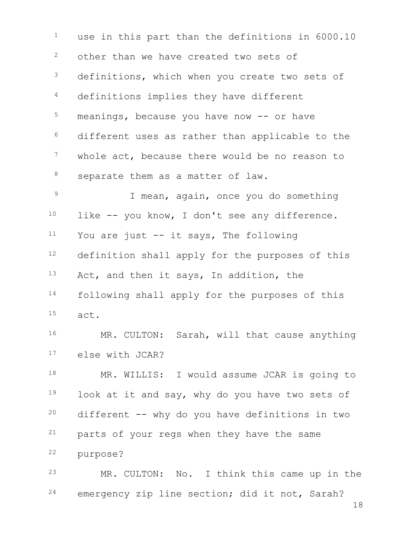<sup>1</sup> use in this part than the definitions in 6000.10 <sup>2</sup> other than we have created two sets of <sup>3</sup> definitions, which when you create two sets of <sup>4</sup> definitions implies they have different  $5$  meanings, because you have now  $-$ - or have <sup>6</sup> different uses as rather than applicable to the <sup>7</sup> whole act, because there would be no reason to 8 separate them as a matter of law. <sup>9</sup> I mean, again, once you do something  $10$  like  $-$  you know, I don't see any difference.  $11$  You are just  $--$  it says, The following 12 definition shall apply for the purposes of this 13 Act, and then it says, In addition, the <sup>14</sup> following shall apply for the purposes of this <sup>15</sup> act. 16 MR. CULTON: Sarah, will that cause anything <sup>17</sup> else with JCAR?

18 MR. WILLIS: I would assume JCAR is going to 19 look at it and say, why do you have two sets of  $20$  different  $--$  why do you have definitions in two <sup>21</sup> parts of your regs when they have the same <sup>22</sup> purpose?

<sup>23</sup> MR. CULTON: No. I think this came up in the <sup>24</sup> emergency zip line section; did it not, Sarah?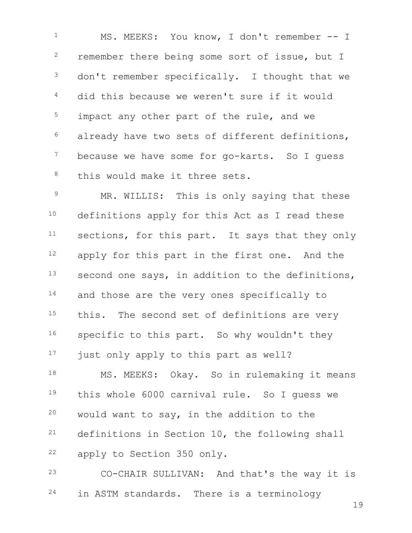<sup>1</sup> MS. MEEKS: You know, I don't remember -- I <sup>2</sup> remember there being some sort of issue, but I <sup>3</sup> don't remember specifically. I thought that we <sup>4</sup> did this because we weren't sure if it would  $5$  impact any other part of the rule, and we  $6$  already have two sets of different definitions, <sup>7</sup> because we have some for go-karts. So I guess 8 this would make it three sets.

9 MR. WILLIS: This is only saying that these 10 definitions apply for this Act as I read these <sup>11</sup> sections, for this part. It says that they only 12 apply for this part in the first one. And the 13 second one says, in addition to the definitions, 14 and those are the very ones specifically to 15 this. The second set of definitions are very 16 specific to this part. So why wouldn't they 17 just only apply to this part as well?

18 MS. MEEKS: Okay. So in rulemaking it means this whole 6000 carnival rule. So I guess we would want to say, in the addition to the definitions in Section 10, the following shall apply to Section 350 only.

<sup>23</sup> CO-CHAIR SULLIVAN: And that's the way it is <sup>24</sup> in ASTM standards. There is a terminology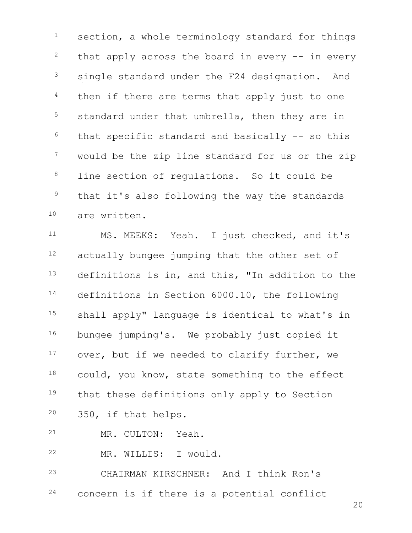$1$  section, a whole terminology standard for things  $2$  that apply across the board in every  $-$  in every <sup>3</sup> single standard under the F24 designation. And  $4$  then if there are terms that apply just to one 5 standard under that umbrella, then they are in  $6$  that specific standard and basically  $-$ - so this <sup>7</sup> would be the zip line standard for us or the zip <sup>8</sup> line section of requlations. So it could be <sup>9</sup> that it's also following the way the standards <sup>10</sup> are written.

<sup>11</sup> MS. MEEKS: Yeah. I just checked, and it's 12 actually bungee jumping that the other set of 13 definitions is in, and this, "In addition to the <sup>14</sup> definitions in Section 6000.10, the following <sup>15</sup> shall apply" language is identical to what's in 16 bungee jumping's. We probably just copied it 17 over, but if we needed to clarify further, we 18 could, you know, state something to the effect 19 that these definitions only apply to Section <sup>20</sup> 350, if that helps.

<sup>21</sup> MR. CULTON: Yeah.

<sup>22</sup> MR. WILLIS: I would.

<sup>23</sup> CHAIRMAN KIRSCHNER: And I think Ron's <sup>24</sup> concern is if there is a potential conflict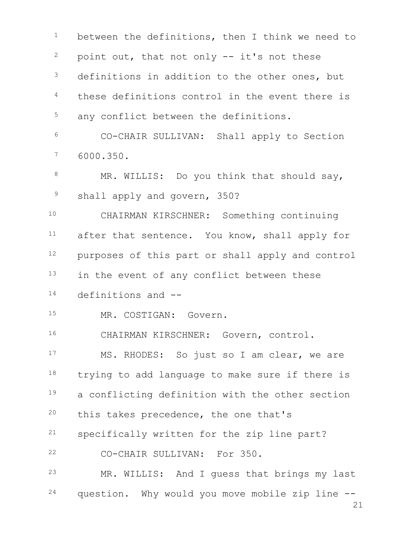21 <sup>1</sup> between the definitions, then I think we need to  $2$  point out, that not only  $-$  it's not these <sup>3</sup> definitions in addition to the other ones, but <sup>4</sup> these definitions control in the event there is <sup>5</sup> any conflict between the definitions. <sup>6</sup> CO-CHAIR SULLIVAN: Shall apply to Section <sup>7</sup> 6000.350. 8 MR. WILLIS: Do you think that should say, <sup>9</sup> shall apply and govern, 350? <sup>10</sup> CHAIRMAN KIRSCHNER: Something continuing <sup>11</sup> after that sentence. You know, shall apply for 12 purposes of this part or shall apply and control 13 in the event of any conflict between these <sup>14</sup> definitions and -- 15 MR. COSTIGAN: Govern. <sup>16</sup> CHAIRMAN KIRSCHNER: Govern, control. <sup>17</sup> MS. RHODES: So just so I am clear, we are 18 trying to add language to make sure if there is 19 a conflicting definition with the other section  $20$  this takes precedence, the one that's <sup>21</sup> specifically written for the zip line part? <sup>22</sup> CO-CHAIR SULLIVAN: For 350. <sup>23</sup> MR. WILLIS: And I guess that brings my last <sup>24</sup> question. Why would you move mobile zip line --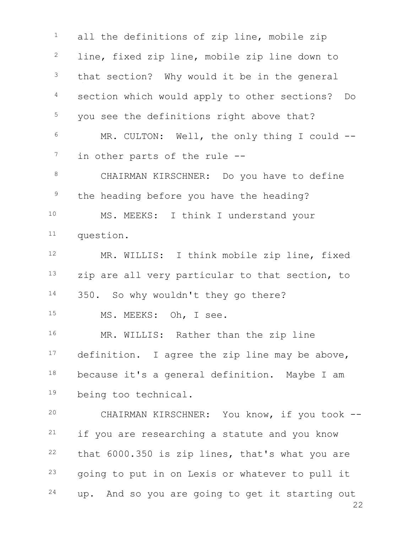22 <sup>1</sup> all the definitions of zip line, mobile zip <sup>2</sup> line, fixed zip line, mobile zip line down to <sup>3</sup> that section? Why would it be in the general <sup>4</sup> section which would apply to other sections? Do <sup>5</sup> you see the definitions right above that? <sup>6</sup> MR. CULTON: Well, the only thing I could --  $7$  in other parts of the rule  $-$ -8 CHAIRMAN KIRSCHNER: Do you have to define <sup>9</sup> the heading before you have the heading? <sup>10</sup> MS. MEEKS: I think I understand your <sup>11</sup> question. <sup>12</sup> MR. WILLIS: I think mobile zip line, fixed 13 zip are all very particular to that section, to 14 350. So why wouldn't they go there? 15 MS. MEEKS: Oh, I see. 16 MR. WILLIS: Rather than the zip line 17 definition. I agree the zip line may be above,  $18$  because it's a general definition. Maybe I am <sup>19</sup> being too technical. <sup>20</sup> CHAIRMAN KIRSCHNER: You know, if you took -- <sup>21</sup> if you are researching a statute and you know  $22$  that 6000.350 is zip lines, that's what you are  $23$  going to put in on Lexis or whatever to pull it 24 up. And so you are going to get it starting out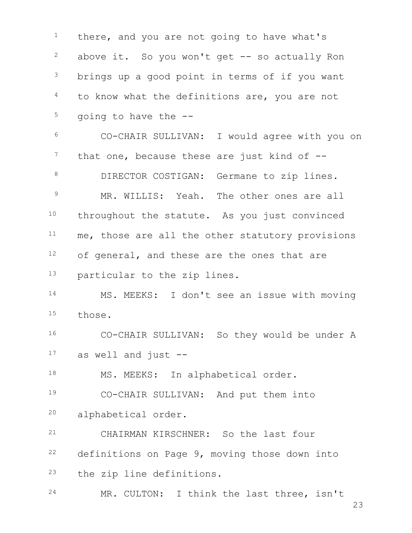there, and you are not going to have what's above it. So you won't get  $-$  so actually Ron <sup>3</sup> brings up a good point in terms of if you want to know what the definitions are, you are not going to have the  $-$ - CO-CHAIR SULLIVAN: I would agree with you on that one, because these are just kind of  $-$ 8 DIRECTOR COSTIGAN: Germane to zip lines. <sup>9</sup> MR. WILLIS: Yeah. The other ones are all 10 throughout the statute. As you just convinced me, those are all the other statutory provisions <sup>12</sup> of general, and these are the ones that are 13 particular to the zip lines. MS. MEEKS: I don't see an issue with moving those. CO-CHAIR SULLIVAN: So they would be under A as well and just  $-$ 18 MS. MEEKS: In alphabetical order. CO-CHAIR SULLIVAN: And put them into alphabetical order. CHAIRMAN KIRSCHNER: So the last four definitions on Page 9, moving those down into the zip line definitions. MR. CULTON: I think the last three, isn't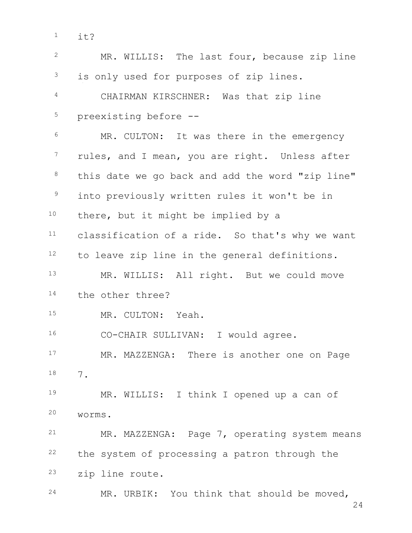$1$  it?

| $\overline{2}$  | MR. WILLIS: The last four, because zip line      |
|-----------------|--------------------------------------------------|
| $\mathcal{S}$   | is only used for purposes of zip lines.          |
| 4               | CHAIRMAN KIRSCHNER: Was that zip line            |
| $\mathsf S$     | preexisting before --                            |
| $\epsilon$      | MR. CULTON: It was there in the emergency        |
| $7\phantom{.0}$ | rules, and I mean, you are right. Unless after   |
| $\,8\,$         | this date we go back and add the word "zip line" |
| 9               | into previously written rules it won't be in     |
| 10 <sub>1</sub> | there, but it might be implied by a              |
| 11              | classification of a ride. So that's why we want  |
| 12              | to leave zip line in the general definitions.    |
| 13              | MR. WILLIS: All right. But we could move         |
| 14              | the other three?                                 |
| 15              | MR. CULTON: Yeah.                                |
| 16              | CO-CHAIR SULLIVAN: I would agree.                |
| 17              | MR. MAZZENGA: There is another one on Page       |
| 18              | 7.                                               |
| 19              | MR. WILLIS: I think I opened up a can of         |
| 20              | worms.                                           |
| 21              | MR. MAZZENGA: Page 7, operating system means     |
| 22              | the system of processing a patron through the    |
| 23              | zip line route.                                  |
| 24              | MR. URBIK: You think that should be moved,       |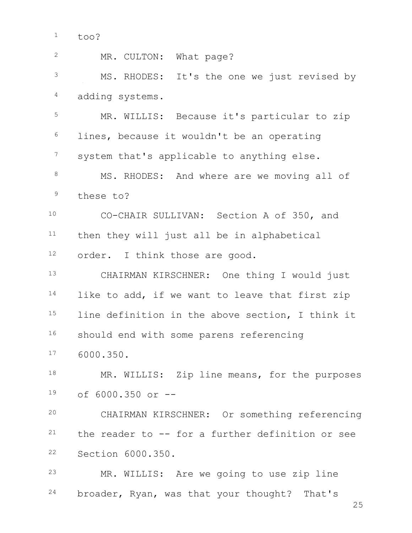| $\mathbf{2}$   | MR. CULTON: What page?                           |
|----------------|--------------------------------------------------|
| 3              | MS. RHODES: It's the one we just revised by      |
| 4              | adding systems.                                  |
| 5              | MR. WILLIS: Because it's particular to zip       |
| 6              | lines, because it wouldn't be an operating       |
| $\overline{7}$ | system that's applicable to anything else.       |
| $\,8\,$        | MS. RHODES: And where are we moving all of       |
| $\mathsf 9$    | these to?                                        |
| 10             | CO-CHAIR SULLIVAN: Section A of 350, and         |
| 11             | then they will just all be in alphabetical       |
| 12             | order. I think those are good.                   |
| 13             | CHAIRMAN KIRSCHNER: One thing I would just       |
| 14             | like to add, if we want to leave that first zip  |
| 15             | line definition in the above section, I think it |
| 16             | should end with some parens referencing          |
| 17             | 6000.350.                                        |
| 18             | MR. WILLIS: Zip line means, for the purposes     |
| 19             | of 6000.350 or --                                |
| 20             | CHAIRMAN KIRSCHNER: Or something referencing     |
| 21             | the reader to -- for a further definition or see |
| 22             | Section 6000.350.                                |
| 23             | MR. WILLIS: Are we going to use zip line         |
| 24             | broader, Ryan, was that your thought? That's     |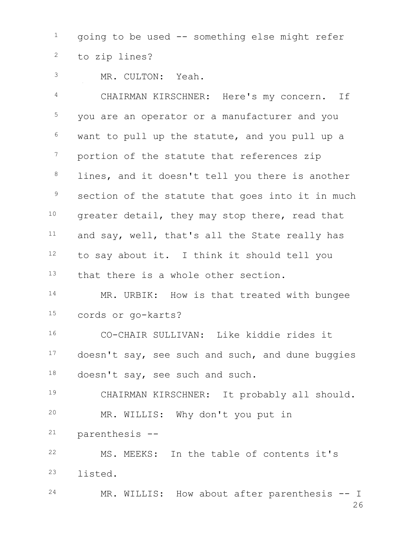going to be used  $-$  something else might refer to zip lines?

MR. CULTON: Yeah.

 CHAIRMAN KIRSCHNER: Here's my concern. If <sup>5</sup> you are an operator or a manufacturer and you want to pull up the statute, and you pull up a <sup>7</sup> portion of the statute that references zip <sup>8</sup> lines, and it doesn't tell you there is another <sup>9</sup> section of the statute that goes into it in much <sup>10</sup> greater detail, they may stop there, read that and say, well, that's all the State really has to say about it. I think it should tell you that there is a whole other section. 14 MR. URBIK: How is that treated with bungee cords or go-karts? CO-CHAIR SULLIVAN: Like kiddie rides it

17 doesn't say, see such and such, and dune buggies doesn't say, see such and such.

 CHAIRMAN KIRSCHNER: It probably all should. MR. WILLIS: Why don't you put in

parenthesis --

 MS. MEEKS: In the table of contents it's listed.

 MR. WILLIS: How about after parenthesis -- I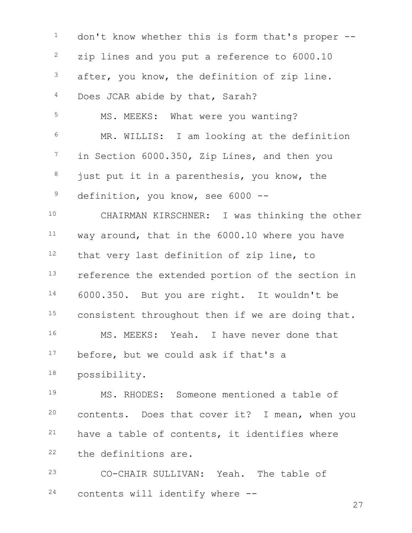<sup>1</sup> don't know whether this is form that's proper --<sup>2</sup> zip lines and you put a reference to 6000.10 after, you know, the definition of zip line. Does JCAR abide by that, Sarah? 5 MS. MEEKS: What were you wanting? MR. WILLIS: I am looking at the definition <sup>7</sup> in Section 6000.350, Zip Lines, and then you just put it in a parenthesis, you know, the <sup>9</sup> definition, you know, see 6000 -- CHAIRMAN KIRSCHNER: I was thinking the other way around, that in the 6000.10 where you have that very last definition of zip line, to 13 reference the extended portion of the section in 6000.350. But you are right. It wouldn't be 15 consistent throughout then if we are doing that. MS. MEEKS: Yeah. I have never done that 17 before, but we could ask if that's a possibility. MS. RHODES: Someone mentioned a table of contents. Does that cover it? I mean, when you have a table of contents, it identifies where the definitions are. CO-CHAIR SULLIVAN: Yeah. The table of contents will identify where --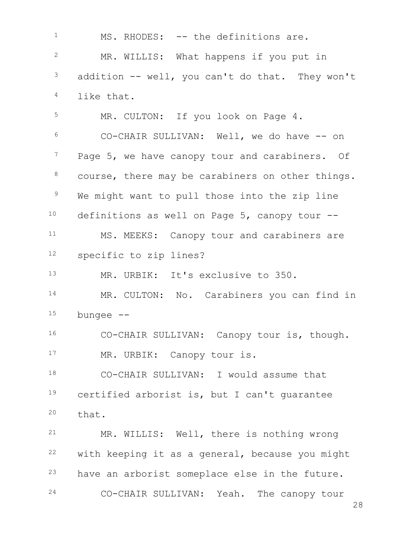1 MS. RHODES: -- the definitions are. MR. WILLIS: What happens if you put in addition  $-$ - well, you can't do that. They won't like that. <sup>5</sup> MR. CULTON: If you look on Page 4. CO-CHAIR SULLIVAN: Well, we do have -- on Page 5, we have canopy tour and carabiners. Of 8 course, there may be carabiners on other things. <sup>9</sup> We might want to pull those into the zip line definitions as well on Page 5, canopy tour  $-$ 11 MS. MEEKS: Canopy tour and carabiners are specific to zip lines? MR. URBIK: It's exclusive to 350. 14 MR. CULTON: No. Carabiners you can find in bungee  $--$  CO-CHAIR SULLIVAN: Canopy tour is, though. 17 MR. URBIK: Canopy tour is. CO-CHAIR SULLIVAN: I would assume that certified arborist is, but I can't guarantee that. MR. WILLIS: Well, there is nothing wrong with keeping it as a general, because you might have an arborist someplace else in the future. CO-CHAIR SULLIVAN: Yeah. The canopy tour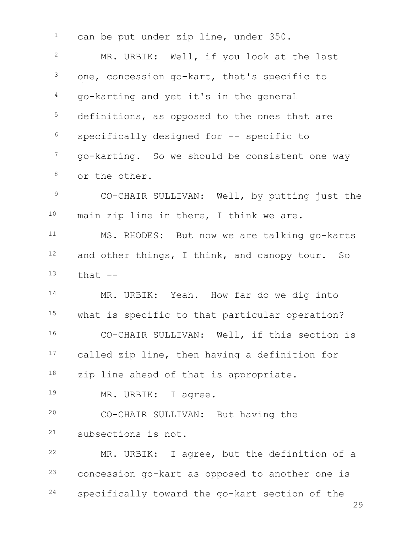<sup>1</sup> can be put under zip line, under 350. <sup>2</sup> MR. URBIK: Well, if you look at the last one, concession go-kart, that's specific to go-karting and yet it's in the general <sup>5</sup> definitions, as opposed to the ones that are specifically designed for -- specific to go-karting. So we should be consistent one way or the other. CO-CHAIR SULLIVAN: Well, by putting just the main zip line in there, I think we are. MS. RHODES: But now we are talking go-karts and other things, I think, and canopy tour. So that  $-$ 14 MR. URBIK: Yeah. How far do we dig into 15 what is specific to that particular operation? CO-CHAIR SULLIVAN: Well, if this section is 17 called zip line, then having a definition for zip line ahead of that is appropriate. 19 MR. URBIK: I agree. CO-CHAIR SULLIVAN: But having the subsections is not. MR. URBIK: I agree, but the definition of a concession go-kart as opposed to another one is specifically toward the go-kart section of the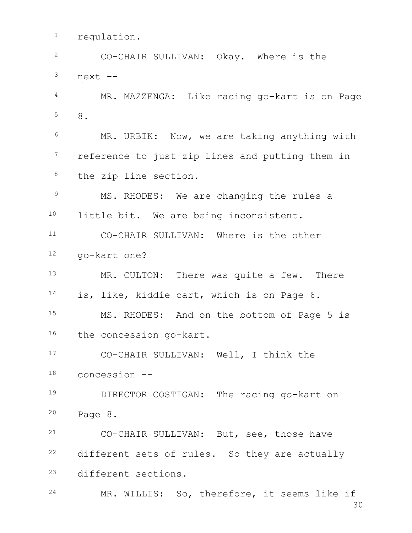<sup>1</sup> requlation.

 CO-CHAIR SULLIVAN: Okay. Where is the next  $--$  MR. MAZZENGA: Like racing go-kart is on Page 8. <sup>6</sup> MR. URBIK: Now, we are taking anything with <sup>7</sup> reference to just zip lines and putting them in the zip line section. 9 MS. RHODES: We are changing the rules a 10 little bit. We are being inconsistent. CO-CHAIR SULLIVAN: Where is the other go-kart one? 13 MR. CULTON: There was quite a few. There is, like, kiddie cart, which is on Page 6. MS. RHODES: And on the bottom of Page 5 is 16 the concession go-kart. CO-CHAIR SULLIVAN: Well, I think the concession -- **DIRECTOR COSTIGAN:** The racing go-kart on Page 8. CO-CHAIR SULLIVAN: But, see, those have different sets of rules. So they are actually different sections. MR. WILLIS: So, therefore, it seems like if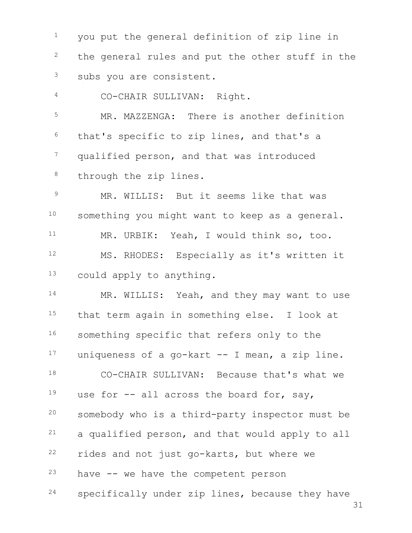<sup>1</sup> you put the general definition of zip line in <sup>2</sup> the general rules and put the other stuff in the <sup>3</sup> subs you are consistent. CO-CHAIR SULLIVAN: Right. MR. MAZZENGA: There is another definition that's specific to zip lines, and that's a <sup>7</sup> qualified person, and that was introduced 8 through the zip lines. MR. WILLIS: But it seems like that was 10 something you might want to keep as a general. MR. URBIK: Yeah, I would think so, too. MS. RHODES: Especially as it's written it could apply to anything. 14 MR. WILLIS: Yeah, and they may want to use that term again in something else. I look at 16 something specific that refers only to the uniqueness of a go-kart -- I mean, a zip line. CO-CHAIR SULLIVAN: Because that's what we 19 use for  $-$ - all across the board for, say, somebody who is a third-party inspector must be a qualified person, and that would apply to all rides and not just go-karts, but where we have  $-$  we have the competent person specifically under zip lines, because they have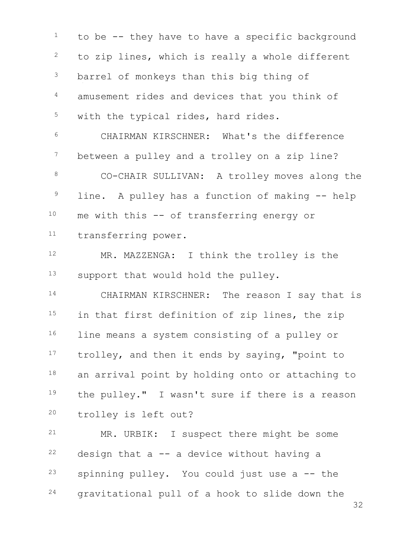$1$  to be  $-$  they have to have a specific background <sup>2</sup> to zip lines, which is really a whole different <sup>3</sup> barrel of monkeys than this big thing of <sup>4</sup> amusement rides and devices that you think of <sup>5</sup> with the typical rides, hard rides. <sup>6</sup> CHAIRMAN KIRSCHNER: What's the difference <sup>7</sup> between a pulley and a trolley on a zip line? 8 CO-CHAIR SULLIVAN: A trolley moves along the  $9$  line. A pulley has a function of making  $-$  help 10 me with this -- of transferring energy or <sup>11</sup> transferring power. 12 MR. MAZZENGA: I think the trolley is the 13 support that would hold the pulley. 14 CHAIRMAN KIRSCHNER: The reason I say that is 15 in that first definition of zip lines, the zip 16 line means a system consisting of a pulley or 17 trolley, and then it ends by saying, "point to 18 an arrival point by holding onto or attaching to <sup>19</sup> the pulley." I wasn't sure if there is a reason <sup>20</sup> trolley is left out? <sup>21</sup> MR. URBIK: I suspect there might be some  $22$  design that a  $-$  a device without having a  $23$  spinning pulley. You could just use a  $-$  the

<sup>24</sup> gravitational pull of a hook to slide down the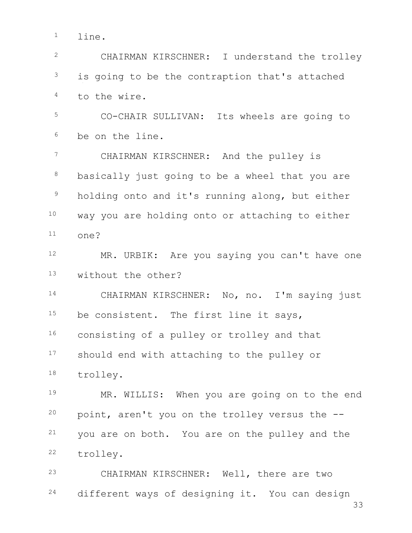<sup>1</sup> line.

 CHAIRMAN KIRSCHNER: I understand the trolley is going to be the contraption that's attached to the wire. CO-CHAIR SULLIVAN: Its wheels are going to be on the line. CHAIRMAN KIRSCHNER: And the pulley is 8 basically just going to be a wheel that you are <sup>9</sup> holding onto and it's running along, but either way you are holding onto or attaching to either one? 12 MR. URBIK: Are you saying you can't have one without the other? CHAIRMAN KIRSCHNER: No, no. I'm saying just 15 be consistent. The first line it says, consisting of a pulley or trolley and that 17 should end with attaching to the pulley or trolley. 19 MR. WILLIS: When you are going on to the end point, aren't you on the trolley versus the  $-$ - you are on both. You are on the pulley and the trolley. CHAIRMAN KIRSCHNER: Well, there are two different ways of designing it. You can design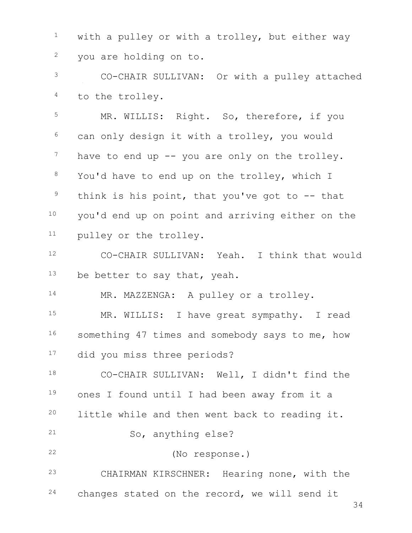with a pulley or with a trolley, but either way you are holding on to.

 CO-CHAIR SULLIVAN: Or with a pulley attached to the trolley.

<sup>5</sup> MR. WILLIS: Right. So, therefore, if you can only design it with a trolley, you would have to end up  $-$  you are only on the trolley. <sup>8</sup> You'd have to end up on the trolley, which I think is his point, that you've got to  $-$ - that you'd end up on point and arriving either on the pulley or the trolley.

 CO-CHAIR SULLIVAN: Yeah. I think that would be better to say that, yeah.

14 MR. MAZZENGA: A pulley or a trolley.

15 MR. WILLIS: I have great sympathy. I read 16 something 47 times and somebody says to me, how did you miss three periods?

 CO-CHAIR SULLIVAN: Well, I didn't find the ones I found until I had been away from it a little while and then went back to reading it. So, anything else? (No response.)

CHAIRMAN KIRSCHNER: Hearing none, with the

changes stated on the record, we will send it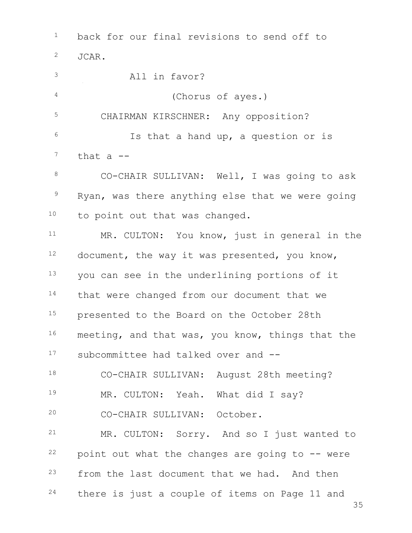35 <sup>1</sup> back for our final revisions to send off to <sup>2</sup> JCAR. <sup>3</sup> All in favor? <sup>4</sup> (Chorus of ayes.) <sup>5</sup> CHAIRMAN KIRSCHNER: Any opposition? <sup>6</sup> Is that a hand up, a question or is  $7$  that a  $-$ 8 CO-CHAIR SULLIVAN: Well, I was going to ask <sup>9</sup> Ryan, was there anything else that we were going 10 to point out that was changed. <sup>11</sup> MR. CULTON: You know, just in general in the  $12$  document, the way it was presented, you know, 13 you can see in the underlining portions of it 14 that were changed from our document that we 15 presented to the Board on the October 28th 16 meeting, and that was, you know, things that the <sup>17</sup> subcommittee had talked over and -- <sup>18</sup> CO-CHAIR SULLIVAN: August 28th meeting? 19 MR. CULTON: Yeah. What did I say? <sup>20</sup> CO-CHAIR SULLIVAN: October. <sup>21</sup> MR. CULTON: Sorry. And so I just wanted to  $22$  point out what the changes are going to  $-$  were  $23$  from the last document that we had. And then <sup>24</sup> there is just a couple of items on Page 11 and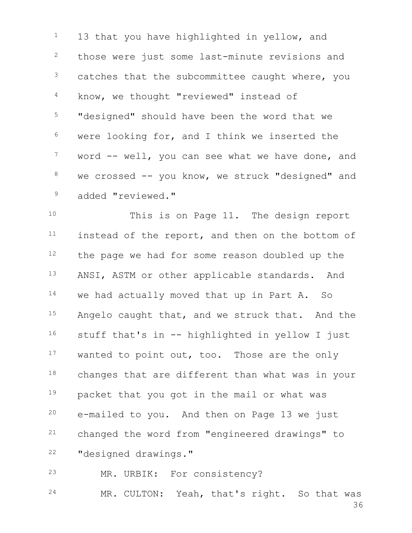<sup>1</sup> 13 that you have highlighted in yellow, and <sup>2</sup> those were just some last-minute revisions and  $3$  catches that the subcommittee caught where, you <sup>4</sup> know, we thought "reviewed" instead of <sup>5</sup> "designed" should have been the word that we <sup>6</sup> were looking for, and I think we inserted the  $7$  word  $--$  well, you can see what we have done, and  $8$  we crossed  $-$ - you know, we struck "designed" and <sup>9</sup> added "reviewed."

 This is on Page 11. The design report instead of the report, and then on the bottom of 12 the page we had for some reason doubled up the 13 ANSI, ASTM or other applicable standards. And we had actually moved that up in Part A. So 15 Angelo caught that, and we struck that. And the stuff that's in -- highlighted in yellow I just 17 wanted to point out, too. Those are the only 18 changes that are different than what was in your packet that you got in the mail or what was e-mailed to you. And then on Page 13 we just changed the word from "engineered drawings" to "designed drawings."

<sup>23</sup> MR. URBIK: For consistency?

36 24 MR. CULTON: Yeah, that's right. So that was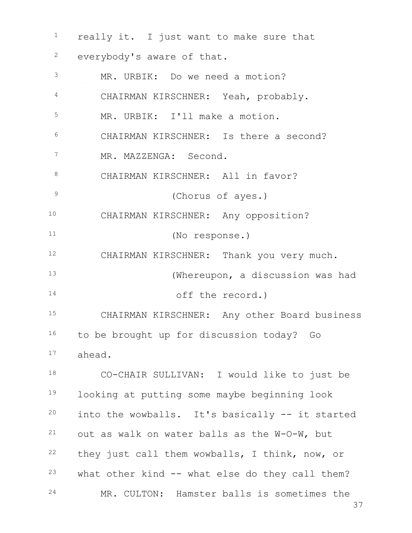really it. I just want to make sure that everybody's aware of that. MR. URBIK: Do we need a motion? CHAIRMAN KIRSCHNER: Yeah, probably. MR. URBIK: I'll make a motion. CHAIRMAN KIRSCHNER: Is there a second? <sup>7</sup> MR. MAZZENGA: Second. 8 CHAIRMAN KIRSCHNER: All in favor? (Chorus of ayes.) CHAIRMAN KIRSCHNER: Any opposition? (No response.) 12 CHAIRMAN KIRSCHNER: Thank you very much. (Whereupon, a discussion was had 14 off the record.) CHAIRMAN KIRSCHNER: Any other Board business to be brought up for discussion today? Go ahead. CO-CHAIR SULLIVAN: I would like to just be looking at putting some maybe beginning look into the wowballs. It's basically -- it started out as walk on water balls as the W-O-W, but they just call them wowballs, I think, now, or what other kind  $--$  what else do they call them? MR. CULTON: Hamster balls is sometimes the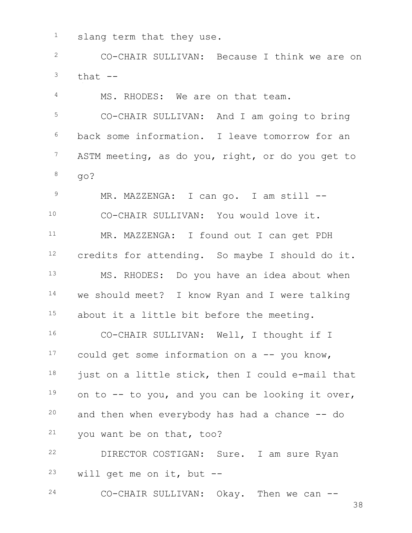<sup>1</sup> slang term that they use.

 CO-CHAIR SULLIVAN: Because I think we are on that  $-$ 

4 MS. RHODES: We are on that team. CO-CHAIR SULLIVAN: And I am going to bring back some information. I leave tomorrow for an <sup>7</sup> ASTM meeting, as do you, right, or do you get to  $8 \qquad \qquad \text{qo?}$ 

9 MR. MAZZENGA: I can go. I am still -- CO-CHAIR SULLIVAN: You would love it. MR. MAZZENGA: I found out I can get PDH credits for attending. So maybe I should do it. MS. RHODES: Do you have an idea about when we should meet? I know Ryan and I were talking 15 about it a little bit before the meeting.

16 CO-CHAIR SULLIVAN: Well, I thought if I could get some information on a  $-$  you know, just on a little stick, then I could e-mail that on to  $-$  to you, and you can be looking it over, and then when everybody has had a chance  $-$  do you want be on that, too?

 DIRECTOR COSTIGAN: Sure. I am sure Ryan will get me on it, but  $-$ 

CO-CHAIR SULLIVAN: Okay. Then we can --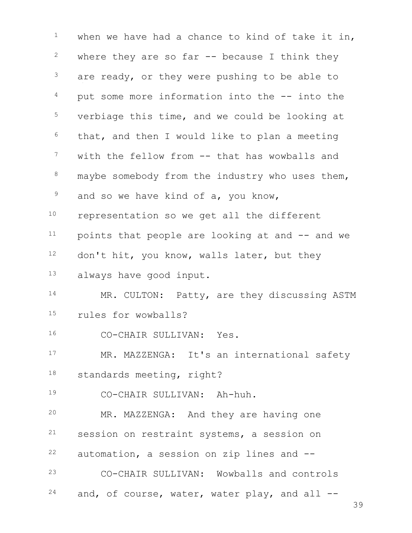when we have had a chance to kind of take it in, where they are so far  $-$  because I think they are ready, or they were pushing to be able to put some more information into the  $-$  into the <sup>5</sup> verbiage this time, and we could be looking at that, and then I would like to plan a meeting with the fellow from -- that has wowballs and maybe somebody from the industry who uses them, and so we have kind of a, you know, representation so we get all the different points that people are looking at and  $-$  and we 12 don't hit, you know, walls later, but they always have good input. 14 MR. CULTON: Patty, are they discussing ASTM rules for wowballs? CO-CHAIR SULLIVAN: Yes. 17 MR. MAZZENGA: It's an international safety standards meeting, right? CO-CHAIR SULLIVAN: Ah-huh. MR. MAZZENGA: And they are having one session on restraint systems, a session on automation, a session on zip lines and  $-$  CO-CHAIR SULLIVAN: Wowballs and controls and, of course, water, water play, and all  $-$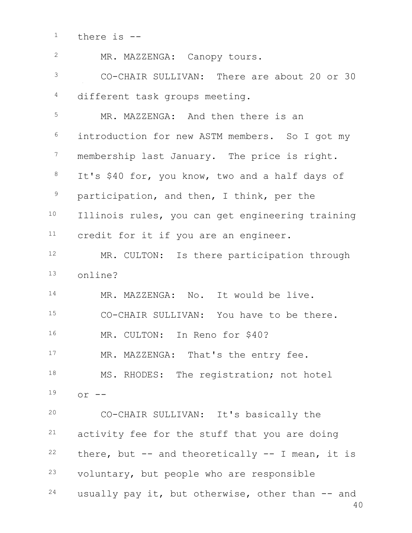there is  $-$ 

| $\mathbf{2}$ | MR. MAZZENGA: Canopy tours.                            |
|--------------|--------------------------------------------------------|
| 3            | CO-CHAIR SULLIVAN: There are about 20 or 30            |
| 4            | different task groups meeting.                         |
| 5            | MR. MAZZENGA: And then there is an                     |
| 6            | introduction for new ASTM members. So I got my         |
| 7            | membership last January. The price is right.           |
| 8            | It's \$40 for, you know, two and a half days of        |
| $\mathsf 9$  | participation, and then, I think, per the              |
| 10           | Illinois rules, you can get engineering training       |
| 11           | credit for it if you are an engineer.                  |
| 12           | MR. CULTON: Is there participation through             |
| 13           | online?                                                |
| 14           | MR. MAZZENGA: No. It would be live.                    |
| 15           | CO-CHAIR SULLIVAN: You have to be there.               |
| 16           | MR. CULTON: In Reno for \$40?                          |
| 17           | MR. MAZZENGA: That's the entry fee.                    |
| 18           | MS. RHODES: The registration; not hotel                |
| 19           | $or$ $--$                                              |
| 20           | CO-CHAIR SULLIVAN: It's basically the                  |
| 21           | activity fee for the stuff that you are doing          |
| 22           | there, but $-$ and theoretically $-$ I mean, it is     |
| 23           | voluntary, but people who are responsible              |
| 24           | usually pay it, but otherwise, other than -- and<br>40 |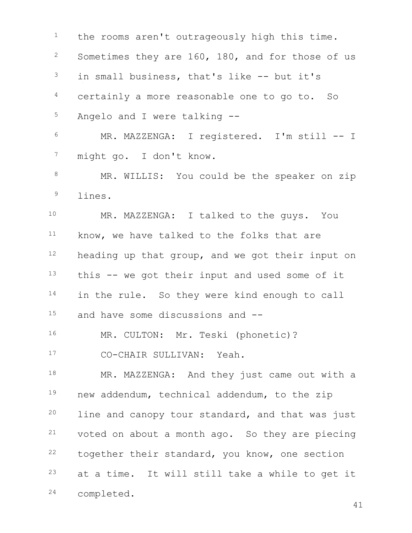the rooms aren't outrageously high this time. <sup>2</sup> Sometimes they are 160, 180, and for those of us in small business, that's like  $--$  but it's <sup>4</sup> certainly a more reasonable one to go to. So Angelo and I were talking -- MR. MAZZENGA: I registered. I'm still -- I might go. I don't know. 8 MR. WILLIS: You could be the speaker on zip lines. MR. MAZZENGA: I talked to the guys. You 11 know, we have talked to the folks that are heading up that group, and we got their input on this  $-$  we got their input and used some of it 14 in the rule. So they were kind enough to call and have some discussions and -- 16 MR. CULTON: Mr. Teski (phonetic)? 17 CO-CHAIR SULLIVAN: Yeah. 18 MR. MAZZENGA: And they just came out with a new addendum, technical addendum, to the zip <sup>20</sup> line and canopy tour standard, and that was just voted on about a month ago. So they are piecing together their standard, you know, one section at a time. It will still take a while to get it completed.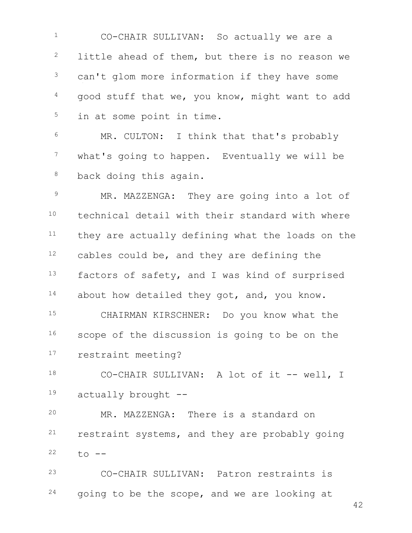CO-CHAIR SULLIVAN: So actually we are a <sup>2</sup> little ahead of them, but there is no reason we can't glom more information if they have some good stuff that we, you know, might want to add <sup>5</sup> in at some point in time.

 MR. CULTON: I think that that's probably <sup>7</sup> what's going to happen. Eventually we will be 8 back doing this again.

9 MR. MAZZENGA: They are going into a lot of technical detail with their standard with where they are actually defining what the loads on the cables could be, and they are defining the 13 factors of safety, and I was kind of surprised 14 about how detailed they got, and, you know. CHAIRMAN KIRSCHNER: Do you know what the

16 scope of the discussion is going to be on the restraint meeting?

18 CO-CHAIR SULLIVAN: A lot of it -- well, I actually brought --

 MR. MAZZENGA: There is a standard on restraint systems, and they are probably going to  $-$ 

 CO-CHAIR SULLIVAN: Patron restraints is going to be the scope, and we are looking at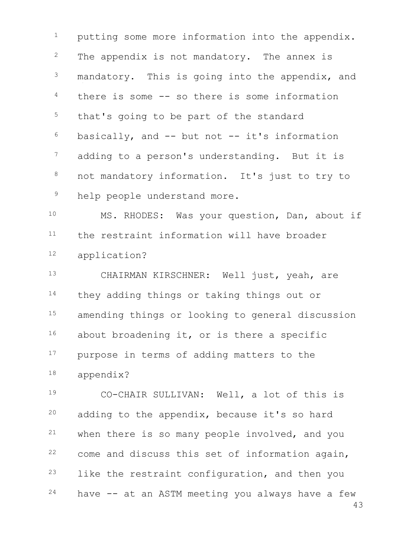<sup>1</sup> putting some more information into the appendix. <sup>2</sup> The appendix is not mandatory. The annex is <sup>3</sup> mandatory. This is going into the appendix, and  $4$  there is some  $-$  so there is some information <sup>5</sup> that's going to be part of the standard  $6$  basically, and  $-$  but not  $-$  it's information <sup>7</sup> adding to a person's understanding. But it is 8 not mandatory information. It's just to try to <sup>9</sup> help people understand more.

<sup>10</sup> MS. RHODES: Was your question, Dan, about if <sup>11</sup> the restraint information will have broader <sup>12</sup> application?

<sup>13</sup> CHAIRMAN KIRSCHNER: Well just, yeah, are 14 they adding things or taking things out or 15 amending things or looking to general discussion 16 about broadening it, or is there a specific 17 purpose in terms of adding matters to the <sup>18</sup> appendix?

43 CO-CHAIR SULLIVAN: Well, a lot of this is adding to the appendix, because it's so hard when there is so many people involved, and you come and discuss this set of information again, <sup>23</sup> like the restraint configuration, and then you have  $-$  at an ASTM meeting you always have a few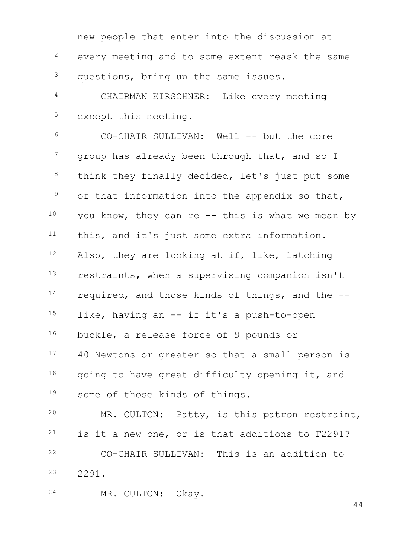<sup>1</sup> new people that enter into the discussion at every meeting and to some extent reask the same <sup>3</sup> questions, bring up the same issues. CHAIRMAN KIRSCHNER: Like every meeting except this meeting. CO-CHAIR SULLIVAN: Well -- but the core <sup>7</sup> group has already been through that, and so I 8 think they finally decided, let's just put some of that information into the appendix so that, you know, they can re -- this is what we mean by this, and it's just some extra information. Also, they are looking at if, like, latching restraints, when a supervising companion isn't required, and those kinds of things, and the -- like, having an  $-$  if it's a push-to-open buckle, a release force of 9 pounds or 17 40 Newtons or greater so that a small person is going to have great difficulty opening it, and some of those kinds of things.

 MR. CULTON: Patty, is this patron restraint, is it a new one, or is that additions to F2291? CO-CHAIR SULLIVAN: This is an addition to 2291.

MR. CULTON: Okay.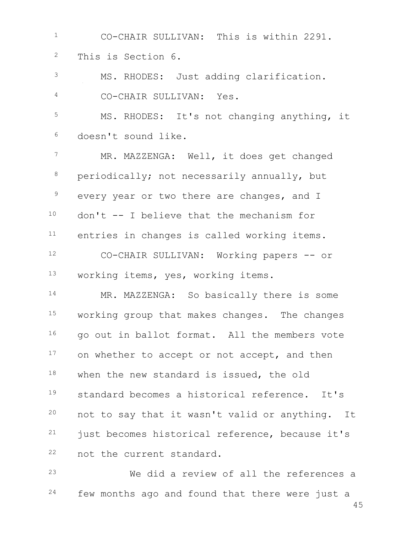CO-CHAIR SULLIVAN: This is within 2291. This is Section 6. MS. RHODES: Just adding clarification. CO-CHAIR SULLIVAN: Yes. MS. RHODES: It's not changing anything, it doesn't sound like. MR. MAZZENGA: Well, it does get changed periodically; not necessarily annually, but <sup>9</sup> every year or two there are changes, and I don't  $-$  I believe that the mechanism for <sup>11</sup> entries in changes is called working items. CO-CHAIR SULLIVAN: Working papers -- or working items, yes, working items. 14 MR. MAZZENGA: So basically there is some 15 working group that makes changes. The changes 16 go out in ballot format. All the members vote 17 on whether to accept or not accept, and then 18 when the new standard is issued, the old standard becomes a historical reference. It's not to say that it wasn't valid or anything. It just becomes historical reference, because it's not the current standard. We did a review of all the references a

<sup>24</sup> few months ago and found that there were just a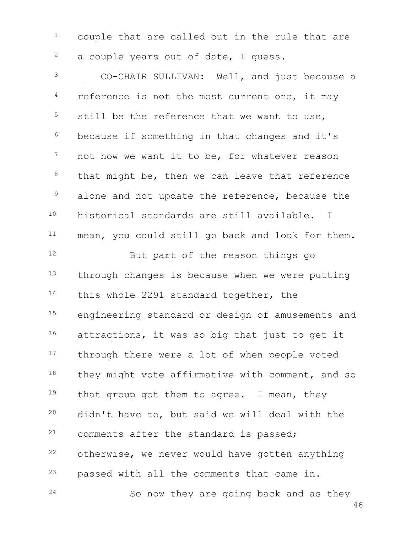$1$  couple that are called out in the rule that are  $2^2$  a couple years out of date, I quess.

 CO-CHAIR SULLIVAN: Well, and just because a reference is not the most current one, it may still be the reference that we want to use, because if something in that changes and it's <sup>7</sup> not how we want it to be, for whatever reason that might be, then we can leave that reference <sup>9</sup> alone and not update the reference, because the historical standards are still available. I 11 mean, you could still go back and look for them.

12 But part of the reason things go 13 through changes is because when we were putting 14 this whole 2291 standard together, the 15 engineering standard or design of amusements and 16 attractions, it was so big that just to get it 17 through there were a lot of when people voted 18 they might vote affirmative with comment, and so 19 that group got them to agree. I mean, they <sup>20</sup> didn't have to, but said we will deal with the <sup>21</sup> comments after the standard is passed;  $22$  otherwise, we never would have gotten anything <sup>23</sup> passed with all the comments that came in. 24 So now they are going back and as they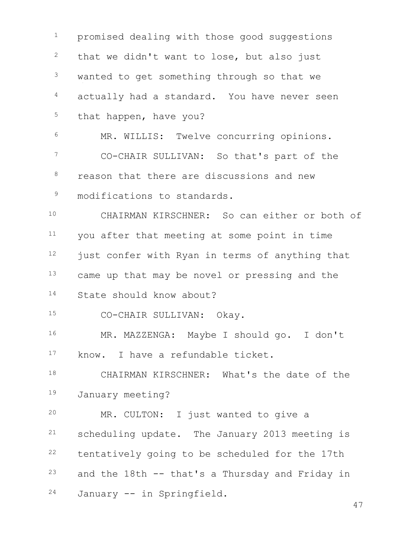<sup>1</sup> promised dealing with those good suggestions that we didn't want to lose, but also just <sup>3</sup> wanted to get something through so that we <sup>4</sup> actually had a standard. You have never seen 5 that happen, have you? MR. WILLIS: Twelve concurring opinions. CO-CHAIR SULLIVAN: So that's part of the <sup>8</sup> reason that there are discussions and new <sup>9</sup> modifications to standards. CHAIRMAN KIRSCHNER: So can either or both of you after that meeting at some point in time just confer with Ryan in terms of anything that 13 came up that may be novel or pressing and the State should know about? CO-CHAIR SULLIVAN: Okay. MR. MAZZENGA: Maybe I should go. I don't 17 know. I have a refundable ticket. CHAIRMAN KIRSCHNER: What's the date of the January meeting? MR. CULTON: I just wanted to give a scheduling update. The January 2013 meeting is tentatively going to be scheduled for the 17th and the 18th  $-$  that's a Thursday and Friday in January -- in Springfield.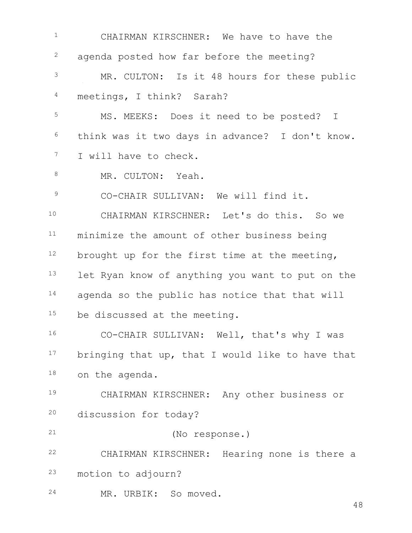CHAIRMAN KIRSCHNER: We have to have the <sup>2</sup> agenda posted how far before the meeting? MR. CULTON: Is it 48 hours for these public meetings, I think? Sarah? MS. MEEKS: Does it need to be posted? I think was it two days in advance? I don't know. I will have to check. 8 MR. CULTON: Yeah. 9 CO-CHAIR SULLIVAN: We will find it. CHAIRMAN KIRSCHNER: Let's do this. So we 11 minimize the amount of other business being brought up for the first time at the meeting, 13 let Ryan know of anything you want to put on the 14 agenda so the public has notice that that will 15 be discussed at the meeting. CO-CHAIR SULLIVAN: Well, that's why I was 17 bringing that up, that I would like to have that on the agenda. CHAIRMAN KIRSCHNER: Any other business or discussion for today? (No response.) CHAIRMAN KIRSCHNER: Hearing none is there a motion to adjourn? MR. URBIK: So moved.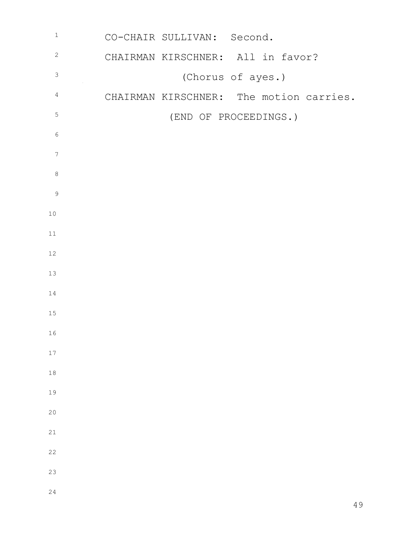| $\mathbbm{1}$    | CO-CHAIR SULLIVAN: Second.              |
|------------------|-----------------------------------------|
| $\sqrt{2}$       | CHAIRMAN KIRSCHNER: All in favor?       |
| $\mathsf 3$      | (Chorus of ayes.)                       |
| $\overline{4}$   | CHAIRMAN KIRSCHNER: The motion carries. |
| $\mathsf S$      | (END OF PROCEEDINGS.)                   |
| $\epsilon$       |                                         |
| $\boldsymbol{7}$ |                                         |
| $\,8\,$          |                                         |
| $\mathsf 9$      |                                         |
| $10$             |                                         |
| 11               |                                         |
| $12\,$           |                                         |
| 13               |                                         |
| 14               |                                         |
| $15\,$           |                                         |
| 16               |                                         |
| 17               |                                         |
| $18\,$           |                                         |
| 19               |                                         |
| 20               |                                         |
| 21               |                                         |
| 22               |                                         |
| 23               |                                         |